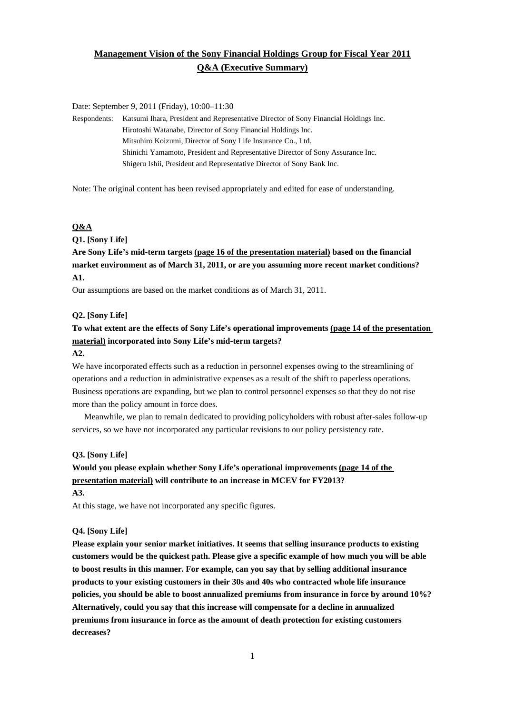# **Management Vision of the Sony Financial Holdings Group for Fiscal Year 2011 Q&A (Executive Summary)**

Date: September 9, 2011 (Friday), 10:00–11:30

Respondents: Katsumi Ihara, President and Representative Director of Sony Financial Holdings Inc. Hirotoshi Watanabe, Director of Sony Financial Holdings Inc. Mitsuhiro Koizumi, Director of Sony Life Insurance Co., Ltd. Shinichi Yamamoto, President and Representative Director of Sony Assurance Inc. Shigeru Ishii, President and Representative Director of Sony Bank Inc.

Note: The original content has been revised appropriately and edited for ease of understanding.

### **Q&A**

**Q1. [Sony Life]** 

**Are Sony Life's mid-term targets [\(page 16 of the presentation material\)](http://www.sonyfh.co.jp/en/financial_info/management_vision/110909_01.pdf) based on the financial market environment as of March 31, 2011, or are you assuming more recent market conditions? A1.** 

Our assumptions are based on the market conditions as of March 31, 2011.

### **Q2. [Sony Life]**

# **[To what extent are the effects of Sony Life's operational improvements \(page 14 of the presentation](http://www.sonyfh.co.jp/en/financial_info/management_vision/110909_01.pdf)  material) incorporated into Sony Life's mid-term targets?**

### **A2.**

We have incorporated effects such as a reduction in personnel expenses owing to the streamlining of operations and a reduction in administrative expenses as a result of the shift to paperless operations. Business operations are expanding, but we plan to control personnel expenses so that they do not rise more than the policy amount in force does.

 Meanwhile, we plan to remain dedicated to providing policyholders with robust after-sales follow-up services, so we have not incorporated any particular revisions to our policy persistency rate.

### **Q3. [Sony Life]**

# **[Would you please explain whether Sony Life's operational improvements \(page 14 of the](http://www.sonyfh.co.jp/en/financial_info/management_vision/110909_01.pdf) presentation material) will contribute to an increase in MCEV for FY2013?**

# **A3.**

At this stage, we have not incorporated any specific figures.

#### **Q4. [Sony Life]**

**Please explain your senior market initiatives. It seems that selling insurance products to existing customers would be the quickest path. Please give a specific example of how much you will be able to boost results in this manner. For example, can you say that by selling additional insurance products to your existing customers in their 30s and 40s who contracted whole life insurance policies, you should be able to boost annualized premiums from insurance in force by around 10%? Alternatively, could you say that this increase will compensate for a decline in annualized premiums from insurance in force as the amount of death protection for existing customers decreases?**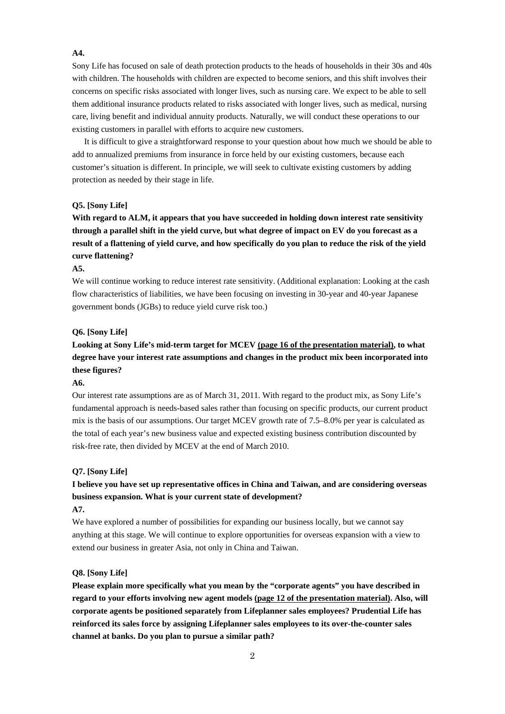### **A4.**

Sony Life has focused on sale of death protection products to the heads of households in their 30s and 40s with children. The households with children are expected to become seniors, and this shift involves their concerns on specific risks associated with longer lives, such as nursing care. We expect to be able to sell them additional insurance products related to risks associated with longer lives, such as medical, nursing care, living benefit and individual annuity products. Naturally, we will conduct these operations to our existing customers in parallel with efforts to acquire new customers.

 It is difficult to give a straightforward response to your question about how much we should be able to add to annualized premiums from insurance in force held by our existing customers, because each customer's situation is different. In principle, we will seek to cultivate existing customers by adding protection as needed by their stage in life.

### **Q5. [Sony Life]**

**With regard to ALM, it appears that you have succeeded in holding down interest rate sensitivity through a parallel shift in the yield curve, but what degree of impact on EV do you forecast as a result of a flattening of yield curve, and how specifically do you plan to reduce the risk of the yield curve flattening?** 

#### **A5.**

We will continue working to reduce interest rate sensitivity. (Additional explanation: Looking at the cash flow characteristics of liabilities, we have been focusing on investing in 30-year and 40-year Japanese government bonds (JGBs) to reduce yield curve risk too.)

### **Q6. [Sony Life]**

# **Looking at Sony Life's mid-term target for MCEV [\(page 16 of the presentation material\)](http://www.sonyfh.co.jp/en/financial_info/management_vision/110909_01.pdf), to what degree have your interest rate assumptions and changes in the product mix been incorporated into these figures?**

### **A6.**

Our interest rate assumptions are as of March 31, 2011. With regard to the product mix, as Sony Life's fundamental approach is needs-based sales rather than focusing on specific products, our current product mix is the basis of our assumptions. Our target MCEV growth rate of 7.5–8.0% per year is calculated as the total of each year's new business value and expected existing business contribution discounted by risk-free rate, then divided by MCEV at the end of March 2010.

#### **Q7. [Sony Life]**

# **I believe you have set up representative offices in China and Taiwan, and are considering overseas business expansion. What is your current state of development?**

### **A7.**

We have explored a number of possibilities for expanding our business locally, but we cannot say anything at this stage. We will continue to explore opportunities for overseas expansion with a view to extend our business in greater Asia, not only in China and Taiwan.

#### **Q8. [Sony Life]**

**Please explain more specifically what you mean by the "corporate agents" you have described in regard to your efforts involving new agent models [\(page 12 of the presentation material\).](http://www.sonyfh.co.jp/en/financial_info/management_vision/110909_01.pdf) Also, will corporate agents be positioned separately from Lifeplanner sales employees? Prudential Life has reinforced its sales force by assigning Lifeplanner sales employees to its over-the-counter sales channel at banks. Do you plan to pursue a similar path?**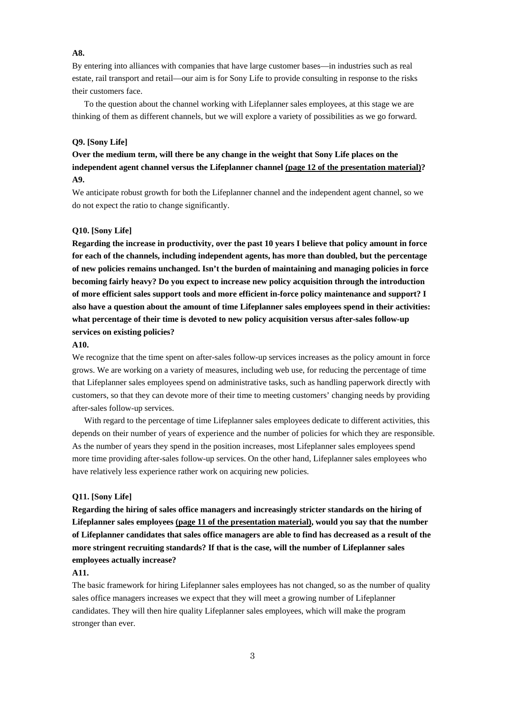### **A8.**

By entering into alliances with companies that have large customer bases—in industries such as real estate, rail transport and retail—our aim is for Sony Life to provide consulting in response to the risks their customers face.

 To the question about the channel working with Lifeplanner sales employees, at this stage we are thinking of them as different channels, but we will explore a variety of possibilities as we go forward.

### **Q9. [Sony Life]**

# **Over the medium term, will there be any change in the weight that Sony Life places on the independent agent channel versus the Lifeplanner channel [\(page 12 of the presentation material\)?](http://www.sonyfh.co.jp/en/financial_info/management_vision/110909_01.pdf) A9.**

We anticipate robust growth for both the Lifeplanner channel and the independent agent channel, so we do not expect the ratio to change significantly.

### **Q10. [Sony Life]**

**Regarding the increase in productivity, over the past 10 years I believe that policy amount in force for each of the channels, including independent agents, has more than doubled, but the percentage of new policies remains unchanged. Isn't the burden of maintaining and managing policies in force becoming fairly heavy? Do you expect to increase new policy acquisition through the introduction of more efficient sales support tools and more efficient in-force policy maintenance and support? I also have a question about the amount of time Lifeplanner sales employees spend in their activities: what percentage of their time is devoted to new policy acquisition versus after-sales follow-up services on existing policies?** 

#### **A10.**

We recognize that the time spent on after-sales follow-up services increases as the policy amount in force grows. We are working on a variety of measures, including web use, for reducing the percentage of time that Lifeplanner sales employees spend on administrative tasks, such as handling paperwork directly with customers, so that they can devote more of their time to meeting customers' changing needs by providing after-sales follow-up services.

 With regard to the percentage of time Lifeplanner sales employees dedicate to different activities, this depends on their number of years of experience and the number of policies for which they are responsible. As the number of years they spend in the position increases, most Lifeplanner sales employees spend more time providing after-sales follow-up services. On the other hand, Lifeplanner sales employees who have relatively less experience rather work on acquiring new policies.

#### **Q11. [Sony Life]**

**Regarding the hiring of sales office managers and increasingly stricter standards on the hiring of Lifeplanner sales employees [\(page 11 of the presentation material\),](http://www.sonyfh.co.jp/en/financial_info/management_vision/110909_01.pdf) would you say that the number of Lifeplanner candidates that sales office managers are able to find has decreased as a result of the more stringent recruiting standards? If that is the case, will the number of Lifeplanner sales employees actually increase?** 

### **A11.**

The basic framework for hiring Lifeplanner sales employees has not changed, so as the number of quality sales office managers increases we expect that they will meet a growing number of Lifeplanner candidates. They will then hire quality Lifeplanner sales employees, which will make the program stronger than ever.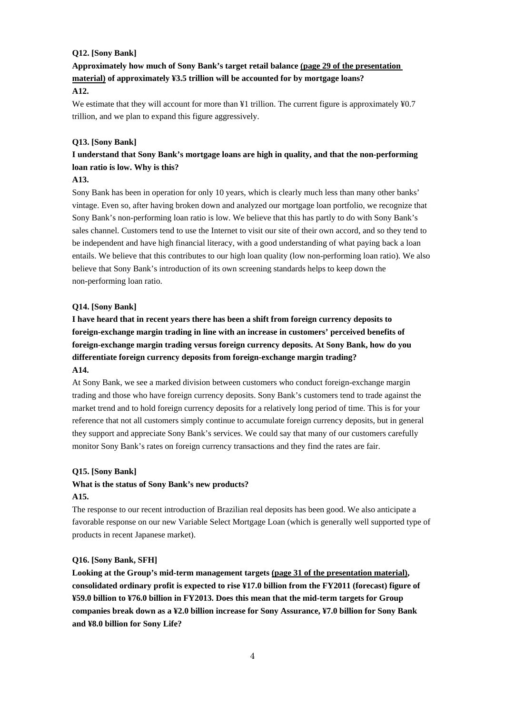### **Q12. [Sony Bank]**

**[Approximately how much of Sony Bank's target retail balance \(page 29 of the presentation](http://www.sonyfh.co.jp/en/financial_info/management_vision/110909_01.pdf)  material) of approximately ¥3.5 trillion will be accounted for by mortgage loans? A12.** 

We estimate that they will account for more than ¥1 trillion. The current figure is approximately ¥0.7 trillion, and we plan to expand this figure aggressively.

### **Q13. [Sony Bank]**

# **I understand that Sony Bank's mortgage loans are high in quality, and that the non-performing loan ratio is low. Why is this?**

### **A13.**

Sony Bank has been in operation for only 10 years, which is clearly much less than many other banks' vintage. Even so, after having broken down and analyzed our mortgage loan portfolio, we recognize that Sony Bank's non-performing loan ratio is low. We believe that this has partly to do with Sony Bank's sales channel. Customers tend to use the Internet to visit our site of their own accord, and so they tend to be independent and have high financial literacy, with a good understanding of what paying back a loan entails. We believe that this contributes to our high loan quality (low non-performing loan ratio). We also believe that Sony Bank's introduction of its own screening standards helps to keep down the non-performing loan ratio.

#### **Q14. [Sony Bank]**

**I have heard that in recent years there has been a shift from foreign currency deposits to foreign-exchange margin trading in line with an increase in customers' perceived benefits of foreign-exchange margin trading versus foreign currency deposits. At Sony Bank, how do you differentiate foreign currency deposits from foreign-exchange margin trading?** 

### **A14.**

At Sony Bank, we see a marked division between customers who conduct foreign-exchange margin trading and those who have foreign currency deposits. Sony Bank's customers tend to trade against the market trend and to hold foreign currency deposits for a relatively long period of time. This is for your reference that not all customers simply continue to accumulate foreign currency deposits, but in general they support and appreciate Sony Bank's services. We could say that many of our customers carefully monitor Sony Bank's rates on foreign currency transactions and they find the rates are fair.

#### **Q15. [Sony Bank]**

## **What is the status of Sony Bank's new products? A15.**

The response to our recent introduction of Brazilian real deposits has been good. We also anticipate a favorable response on our new Variable Select Mortgage Loan (which is generally well supported type of products in recent Japanese market).

### **Q16. [Sony Bank, SFH]**

**Looking at the Group's mid-term management targets ([page 31 of the presentation material\),](http://www.sonyfh.co.jp/en/financial_info/management_vision/110909_01.pdf) consolidated ordinary profit is expected to rise ¥17.0 billion from the FY2011 (forecast) figure of ¥59.0 billion to ¥76.0 billion in FY2013. Does this mean that the mid-term targets for Group companies break down as a ¥2.0 billion increase for Sony Assurance, ¥7.0 billion for Sony Bank and ¥8.0 billion for Sony Life?**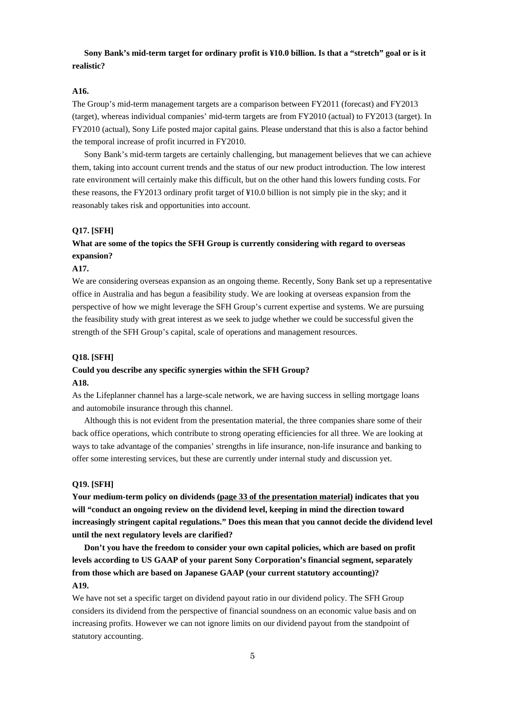### **Sony Bank's mid-term target for ordinary profit is ¥10.0 billion. Is that a "stretch" goal or is it realistic?**

### **A16.**

The Group's mid-term management targets are a comparison between FY2011 (forecast) and FY2013 (target), whereas individual companies' mid-term targets are from FY2010 (actual) to FY2013 (target). In FY2010 (actual), Sony Life posted major capital gains. Please understand that this is also a factor behind the temporal increase of profit incurred in FY2010.

 Sony Bank's mid-term targets are certainly challenging, but management believes that we can achieve them, taking into account current trends and the status of our new product introduction. The low interest rate environment will certainly make this difficult, but on the other hand this lowers funding costs. For these reasons, the FY2013 ordinary profit target of ¥10.0 billion is not simply pie in the sky; and it reasonably takes risk and opportunities into account.

### **Q17. [SFH]**

# **What are some of the topics the SFH Group is currently considering with regard to overseas expansion?**

#### **A17.**

We are considering overseas expansion as an ongoing theme. Recently, Sony Bank set up a representative office in Australia and has begun a feasibility study. We are looking at overseas expansion from the perspective of how we might leverage the SFH Group's current expertise and systems. We are pursuing the feasibility study with great interest as we seek to judge whether we could be successful given the strength of the SFH Group's capital, scale of operations and management resources.

### **Q18. [SFH]**

### **Could you describe any specific synergies within the SFH Group? A18.**

As the Lifeplanner channel has a large-scale network, we are having success in selling mortgage loans and automobile insurance through this channel.

 Although this is not evident from the presentation material, the three companies share some of their back office operations, which contribute to strong operating efficiencies for all three. We are looking at ways to take advantage of the companies' strengths in life insurance, non-life insurance and banking to offer some interesting services, but these are currently under internal study and discussion yet.

#### **Q19. [SFH]**

**Your medium-term policy on dividends [\(page 33 of the presentation material\)](http://www.sonyfh.co.jp/en/financial_info/management_vision/110909_01.pdf) indicates that you will "conduct an ongoing review on the dividend level, keeping in mind the direction toward increasingly stringent capital regulations." Does this mean that you cannot decide the dividend level until the next regulatory levels are clarified?** 

 **Don't you have the freedom to consider your own capital policies, which are based on profit levels according to US GAAP of your parent Sony Corporation's financial segment, separately from those which are based on Japanese GAAP (your current statutory accounting)? A19.** 

We have not set a specific target on dividend payout ratio in our dividend policy. The SFH Group considers its dividend from the perspective of financial soundness on an economic value basis and on increasing profits. However we can not ignore limits on our dividend payout from the standpoint of statutory accounting.